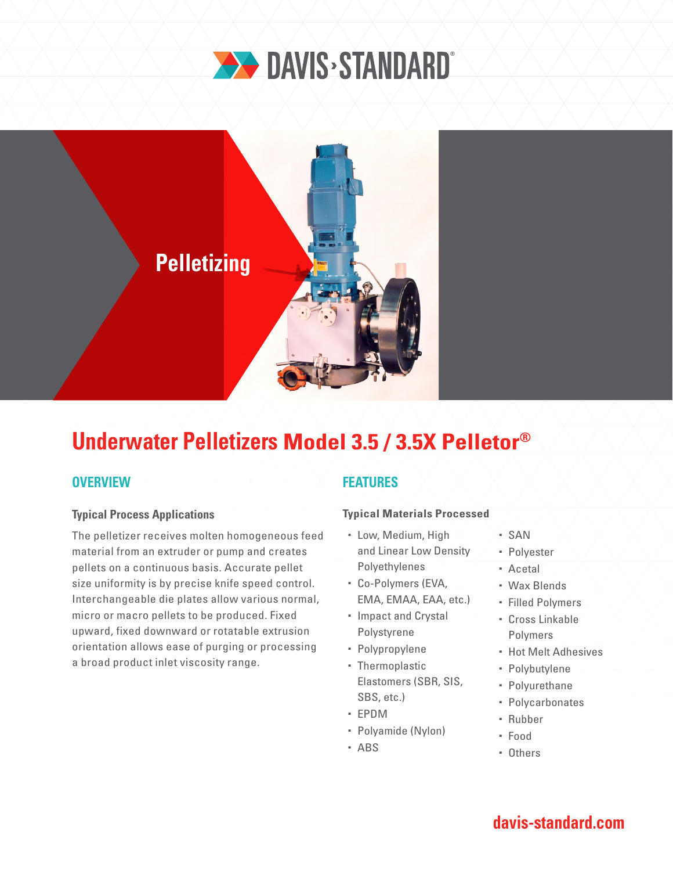



# **Underwater Pelletizers Model 3.5 / 3.5X Pelletor®**

## **OVERVIEW**

### **Typical Process Applications**

The pelletizer receives molten homogeneous feed material from an extruder or pump and creates pellets on a continuous basis. Accurate pellet size uniformity is by precise knife speed control. Interchangeable die plates allow various normal, micro or macro pellets to be produced. Fixed upward, fixed downward or rotatable extrusion orientation allows ease of purging or processing a broad product inlet viscosity range.

### **FEATURES**

#### **Typical Materials Processed**

- Low, Medium, High and Linear Low Density Polyethylenes
- Co-Polymers (EVA, EMA, EMAA, EAA, etc.)
- Impact and Crystal Polystyrene
- Polypropylene
- Thermoplastic Elastomers (SBR, SIS, SBS, etc.)
- EPDM
- Polyamide (Nylon)
- ABS
- $-SAN$
- Polyester
- Acetal
- Wax Blends
- Filled Polymers
- Cross Linkable Polymers
- **Hot Melt Adhesives**
- Polybutylene
- Polyurethane
- Polycarbonates
- Rubber
- Food
- Others

# **davis-standard.com**